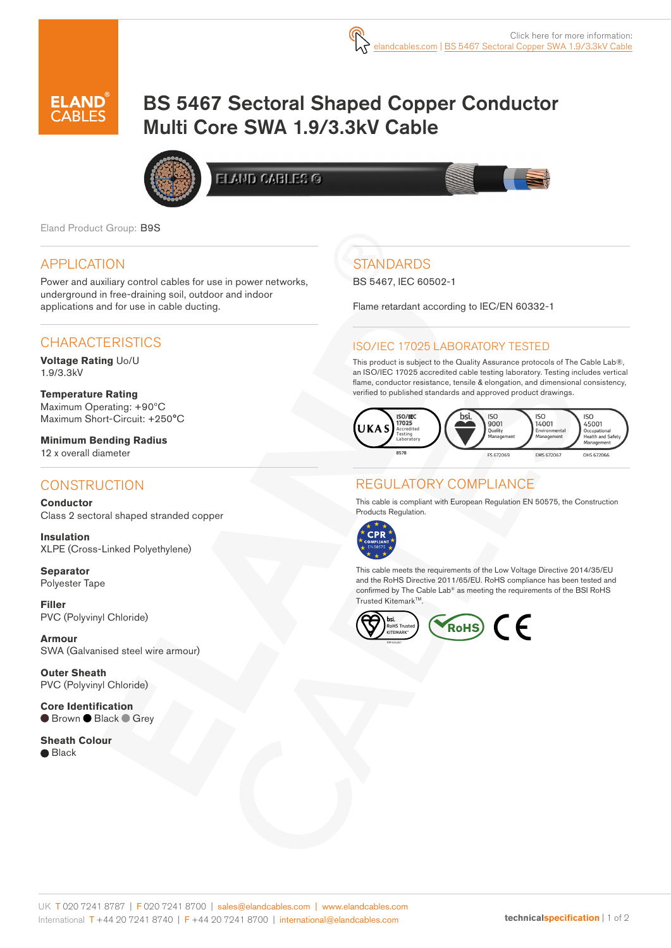

# BS 5467 Sectoral Shaped Copper Conductor Multi Core SWA 1.9/3.3kV Cable



**ELAND CABLES ®** 

Eland Product Group: B9S

### APPLICATION

Power and auxiliary control cables for use in power networks, underground in free-draining soil, outdoor and indoor applications and for use in cable ducting.

## **CHARACTERISTICS**

**Voltage Rating** Uo/U 1.9/3.3kV

**Temperature Rating** Maximum Operating: +90ºC Maximum Short-Circuit: +250°C

**Minimum Bending Radius**  12 x overall diameter

## **CONSTRUCTION**

**Conductor** Class 2 sectoral shaped stranded copper

**Insulation** XLPE (Cross-Linked Polyethylene)

**Separator**  Polyester Tape

**Filler**  PVC (Polyvinyl Chloride)

**Armour** SWA (Galvanised steel wire armour)

**Outer Sheath** PVC (Polyvinyl Chloride)

**Core Identification** ● Brown ● Black ● Grey

**Sheath Colour** ● Black

## **STANDARDS**

BS 5467, IEC 60502-1

Flame retardant according to IEC/EN 60332-1

#### ISO/IEC 17025 LABORATORY TESTED

This product is subject to the Quality Assurance protocols of The Cable Lab®, an ISO/IEC 17025 accredited cable testing laboratory. Testing includes vertical flame, conductor resistance, tensile & elongation, and dimensional consistency, verified to published standards and approved product drawings.



## REGULATORY COMPLIANCE

This cable is compliant with European Regulation EN 50575, the Construction Products Regulation.



This cable meets the requirements of the Low Voltage Directive 2014/35/EU and the RoHS Directive 2011/65/EU. RoHS compliance has been tested and confirmed by The Cable Lab® as meeting the requirements of the BSI RoHS Trusted Kitemark™.